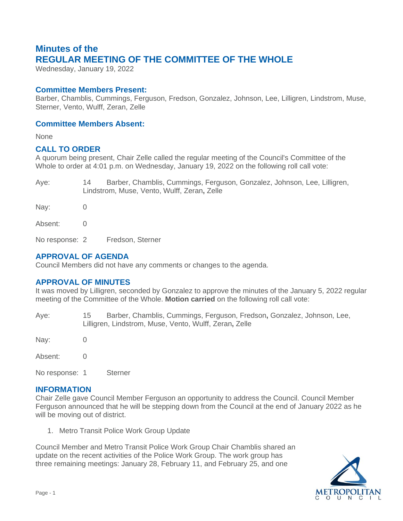# **Minutes of the REGULAR MEETING OF THE COMMITTEE OF THE WHOLE**

Wednesday, January 19, 2022

## **Committee Members Present:**

Barber, Chamblis, Cummings, Ferguson, Fredson, Gonzalez, Johnson, Lee, Lilligren, Lindstrom, Muse, Sterner, Vento, Wulff, Zeran, Zelle

## **Committee Members Absent:**

None

## **CALL TO ORDER**

A quorum being present, Chair Zelle called the regular meeting of the Council's Committee of the Whole to order at 4:01 p.m. on Wednesday, January 19, 2022 on the following roll call vote:

| Aye:    | Barber, Chamblis, Cummings, Ferguson, Gonzalez, Johnson, Lee, Lilligren,<br>14<br>Lindstrom, Muse, Vento, Wulff, Zeran, Zelle |
|---------|-------------------------------------------------------------------------------------------------------------------------------|
| Nay:    |                                                                                                                               |
| Absent: |                                                                                                                               |

No response: 2 Fredson, Sterner

# **APPROVAL OF AGENDA**

Council Members did not have any comments or changes to the agenda.

## **APPROVAL OF MINUTES**

It was moved by Lilligren, seconded by Gonzalez to approve the minutes of the January 5, 2022 regular meeting of the Committee of the Whole. **Motion carried** on the following roll call vote:

Aye: 15 Barber, Chamblis, Cummings, Ferguson, Fredson**,** Gonzalez, Johnson, Lee, Lilligren, Lindstrom, Muse, Vento, Wulff, Zeran**,** Zelle

Nay: 0

Absent: 0

No response: 1 Sterner

### **INFORMATION**

Chair Zelle gave Council Member Ferguson an opportunity to address the Council. Council Member Ferguson announced that he will be stepping down from the Council at the end of January 2022 as he will be moving out of district.

1. Metro Transit Police Work Group Update

Council Member and Metro Transit Police Work Group Chair Chamblis shared an update on the recent activities of the Police Work Group. The work group has three remaining meetings: January 28, February 11, and February 25, and one